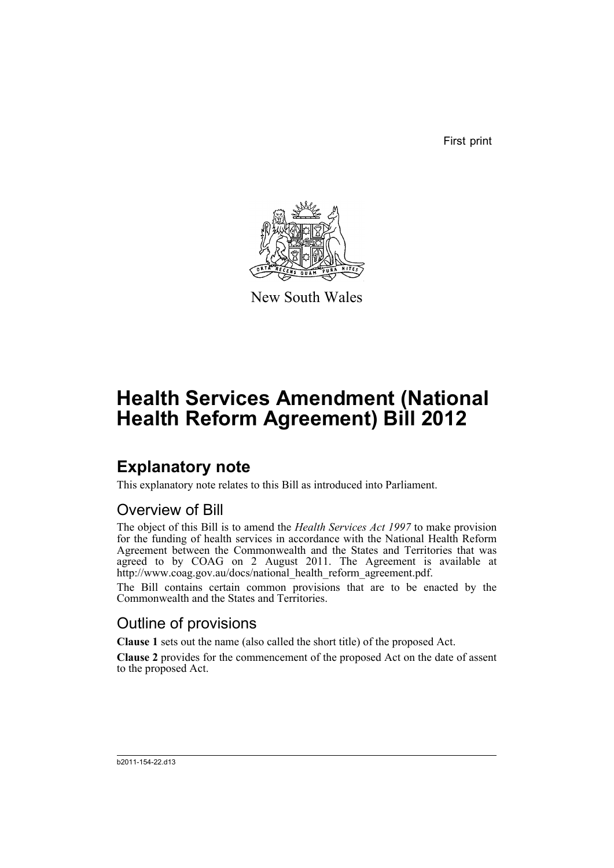First print



New South Wales

# **Health Services Amendment (National Health Reform Agreement) Bill 2012**

## **Explanatory note**

This explanatory note relates to this Bill as introduced into Parliament.

## Overview of Bill

The object of this Bill is to amend the *Health Services Act 1997* to make provision for the funding of health services in accordance with the National Health Reform Agreement between the Commonwealth and the States and Territories that was agreed to by COAG on 2 August 2011. The Agreement is available at http://www.coag.gov.au/docs/national\_health\_reform\_agreement.pdf.

The Bill contains certain common provisions that are to be enacted by the Commonwealth and the States and Territories.

## Outline of provisions

**Clause 1** sets out the name (also called the short title) of the proposed Act.

**Clause 2** provides for the commencement of the proposed Act on the date of assent to the proposed Act.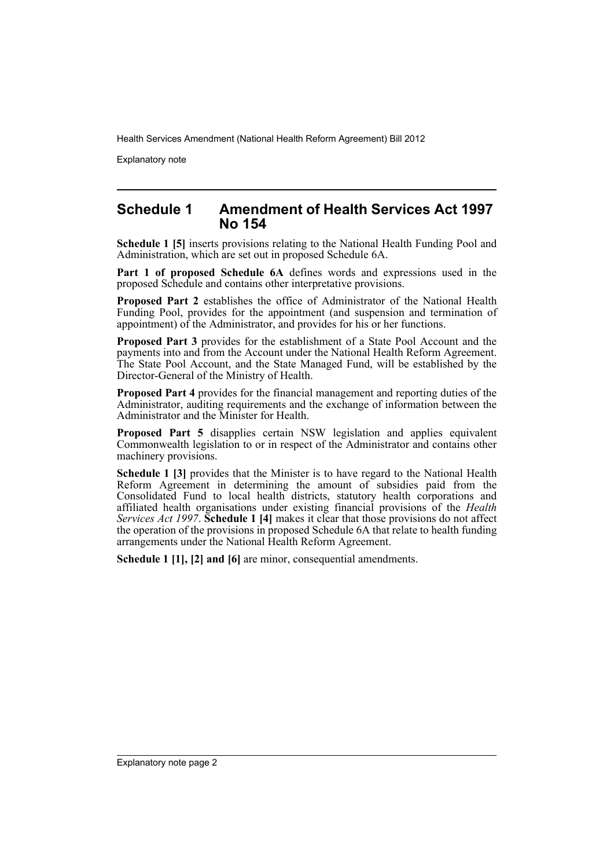Explanatory note

### **Schedule 1 Amendment of Health Services Act 1997 No 154**

**Schedule 1 [5]** inserts provisions relating to the National Health Funding Pool and Administration, which are set out in proposed Schedule 6A.

**Part 1 of proposed Schedule 6A** defines words and expressions used in the proposed Schedule and contains other interpretative provisions.

**Proposed Part 2** establishes the office of Administrator of the National Health Funding Pool, provides for the appointment (and suspension and termination of appointment) of the Administrator, and provides for his or her functions.

**Proposed Part 3** provides for the establishment of a State Pool Account and the payments into and from the Account under the National Health Reform Agreement. The State Pool Account, and the State Managed Fund, will be established by the Director-General of the Ministry of Health.

**Proposed Part 4** provides for the financial management and reporting duties of the Administrator, auditing requirements and the exchange of information between the Administrator and the Minister for Health.

**Proposed Part 5** disapplies certain NSW legislation and applies equivalent Commonwealth legislation to or in respect of the Administrator and contains other machinery provisions.

**Schedule 1 [3]** provides that the Minister is to have regard to the National Health Reform Agreement in determining the amount of subsidies paid from the Consolidated Fund to local health districts, statutory health corporations and affiliated health organisations under existing financial provisions of the *Health Services Act 1997*. **Schedule 1 [4]** makes it clear that those provisions do not affect the operation of the provisions in proposed Schedule 6A that relate to health funding arrangements under the National Health Reform Agreement.

**Schedule 1 [1], [2] and [6]** are minor, consequential amendments.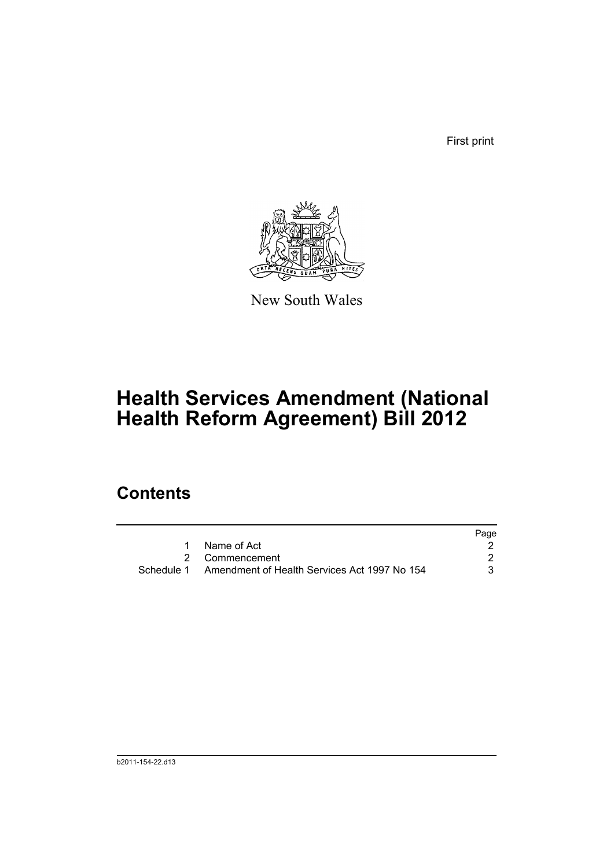First print



New South Wales

# **Health Services Amendment (National Health Reform Agreement) Bill 2012**

## **Contents**

|                                                         | Page |
|---------------------------------------------------------|------|
| Name of Act                                             |      |
| 2 Commencement                                          |      |
| Schedule 1 Amendment of Health Services Act 1997 No 154 |      |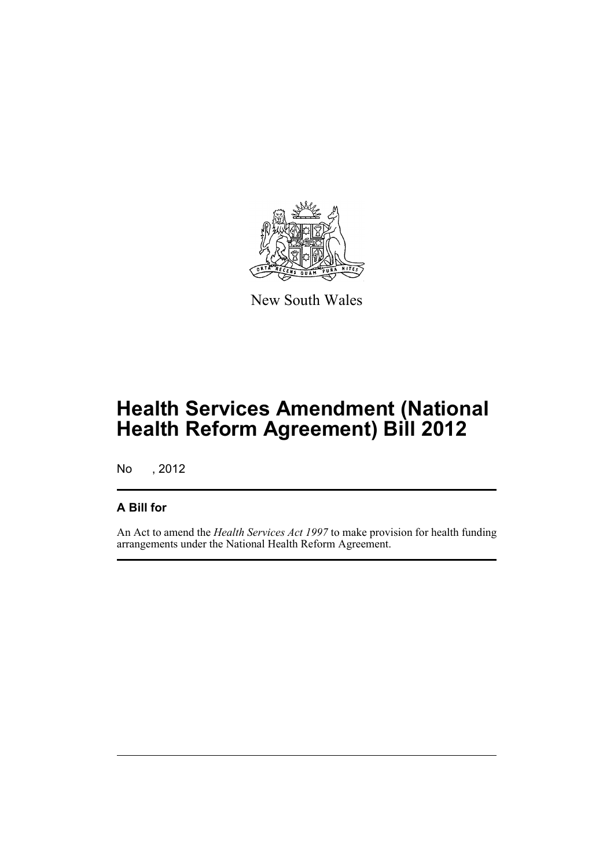

New South Wales

## **Health Services Amendment (National Health Reform Agreement) Bill 2012**

No , 2012

### **A Bill for**

An Act to amend the *Health Services Act 1997* to make provision for health funding arrangements under the National Health Reform Agreement.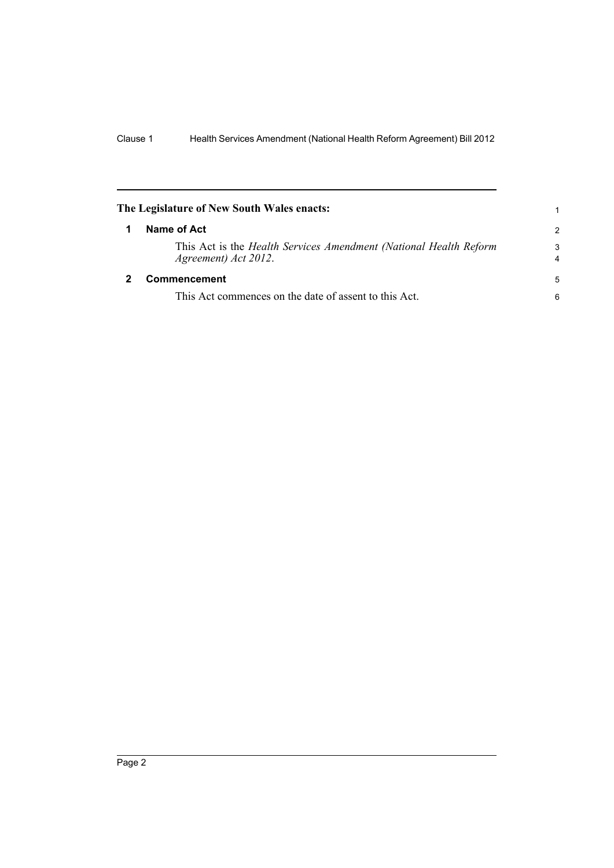<span id="page-5-1"></span><span id="page-5-0"></span>

| The Legislature of New South Wales enacts:                                                |                     |
|-------------------------------------------------------------------------------------------|---------------------|
| Name of Act                                                                               | $\overline{2}$      |
| This Act is the Health Services Amendment (National Health Reform<br>Agreement) Act 2012. | 3<br>$\overline{4}$ |
| Commencement                                                                              | 5                   |
| This Act commences on the date of assent to this Act.                                     | 6                   |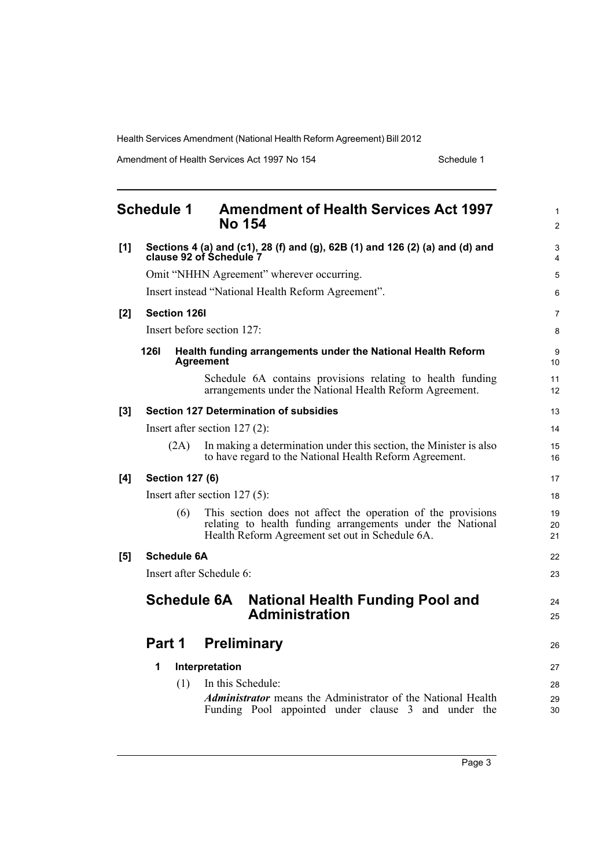Amendment of Health Services Act 1997 No 154 Schedule 1

<span id="page-6-0"></span>

|     | <b>Schedule 1</b>                                                                                       |                        | <b>Amendment of Health Services Act 1997</b><br><b>No 154</b>                                                                                                                 | $\mathbf{1}$<br>2 |
|-----|---------------------------------------------------------------------------------------------------------|------------------------|-------------------------------------------------------------------------------------------------------------------------------------------------------------------------------|-------------------|
| [1] | Sections 4 (a) and (c1), 28 (f) and (g), 62B (1) and 126 (2) (a) and (d) and<br>clause 92 of Schedule 7 |                        |                                                                                                                                                                               | 3<br>4            |
|     | Omit "NHHN Agreement" wherever occurring.                                                               |                        |                                                                                                                                                                               | 5                 |
|     |                                                                                                         |                        | Insert instead "National Health Reform Agreement".                                                                                                                            | 6                 |
| [2] |                                                                                                         | <b>Section 126I</b>    |                                                                                                                                                                               | $\overline{7}$    |
|     |                                                                                                         |                        | Insert before section $127$ :                                                                                                                                                 | 8                 |
|     | <b>1261</b>                                                                                             |                        | Health funding arrangements under the National Health Reform<br><b>Agreement</b>                                                                                              | 9<br>10           |
|     |                                                                                                         |                        | Schedule 6A contains provisions relating to health funding<br>arrangements under the National Health Reform Agreement.                                                        | 11<br>12          |
| [3] |                                                                                                         |                        | <b>Section 127 Determination of subsidies</b>                                                                                                                                 | 13                |
|     |                                                                                                         |                        | Insert after section $127(2)$ :                                                                                                                                               | 14                |
|     |                                                                                                         | (2A)                   | In making a determination under this section, the Minister is also<br>to have regard to the National Health Reform Agreement.                                                 | 15<br>16          |
| [4] |                                                                                                         | <b>Section 127 (6)</b> |                                                                                                                                                                               | 17                |
|     | Insert after section $127(5)$ :                                                                         |                        |                                                                                                                                                                               | 18                |
|     |                                                                                                         | (6)                    | This section does not affect the operation of the provisions<br>relating to health funding arrangements under the National<br>Health Reform Agreement set out in Schedule 6A. | 19<br>20<br>21    |
| [5] |                                                                                                         | <b>Schedule 6A</b>     |                                                                                                                                                                               | 22                |
|     |                                                                                                         |                        | Insert after Schedule 6:                                                                                                                                                      | 23                |
|     |                                                                                                         |                        | <b>Schedule 6A</b><br><b>National Health Funding Pool and</b><br><b>Administration</b>                                                                                        | 24<br>25          |
|     |                                                                                                         | <b>Part 1</b>          | <b>Preliminary</b>                                                                                                                                                            | 26                |
|     | 1                                                                                                       |                        | Interpretation                                                                                                                                                                | 27                |
|     |                                                                                                         | (1)                    | In this Schedule:                                                                                                                                                             | 28                |
|     |                                                                                                         |                        | <b>Administrator</b> means the Administrator of the National Health<br>Funding Pool appointed under clause 3 and under the                                                    | 29<br>30          |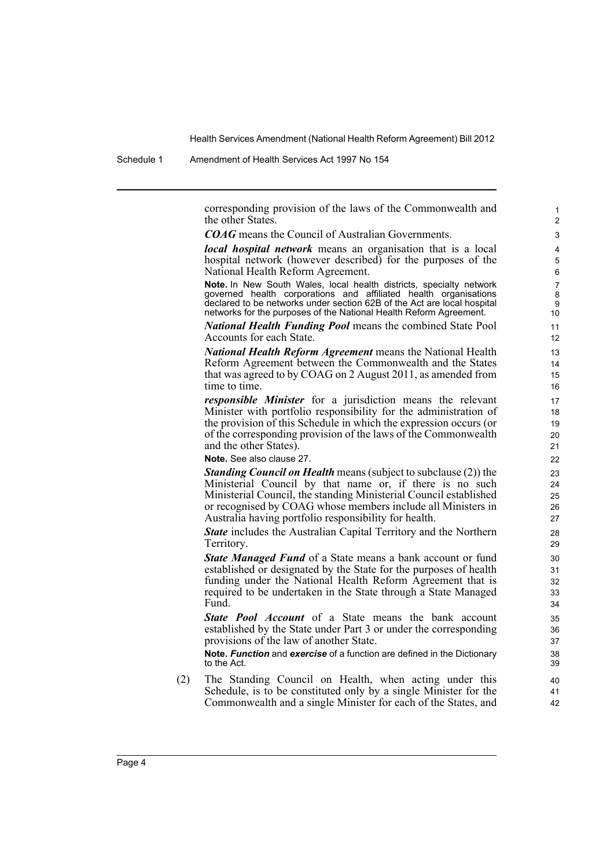Schedule 1 Amendment of Health Services Act 1997 No 154

corresponding provision of the laws of the Commonwealth and the other States.

*COAG* means the Council of Australian Governments.

*local hospital network* means an organisation that is a local hospital network (however described) for the purposes of the National Health Reform Agreement.

**Note.** In New South Wales, local health districts, specialty network governed health corporations and affiliated health organisations declared to be networks under section 62B of the Act are local hospital networks for the purposes of the National Health Reform Agreement.

*National Health Funding Pool* means the combined State Pool Accounts for each State.

*National Health Reform Agreement* means the National Health Reform Agreement between the Commonwealth and the States that was agreed to by COAG on 2 August 2011, as amended from time to time.

*responsible Minister* for a jurisdiction means the relevant Minister with portfolio responsibility for the administration of the provision of this Schedule in which the expression occurs (or of the corresponding provision of the laws of the Commonwealth and the other States).

**Note.** See also clause 27.

*Standing Council on Health* means (subject to subclause (2)) the Ministerial Council by that name or, if there is no such Ministerial Council, the standing Ministerial Council established or recognised by COAG whose members include all Ministers in Australia having portfolio responsibility for health.

*State* includes the Australian Capital Territory and the Northern Territory.

*State Managed Fund* of a State means a bank account or fund established or designated by the State for the purposes of health funding under the National Health Reform Agreement that is required to be undertaken in the State through a State Managed Fund.

*State Pool Account* of a State means the bank account established by the State under Part 3 or under the corresponding provisions of the law of another State.

**Note.** *Function* and *exercise* of a function are defined in the Dictionary to the Act.

(2) The Standing Council on Health, when acting under this Schedule, is to be constituted only by a single Minister for the Commonwealth and a single Minister for each of the States, and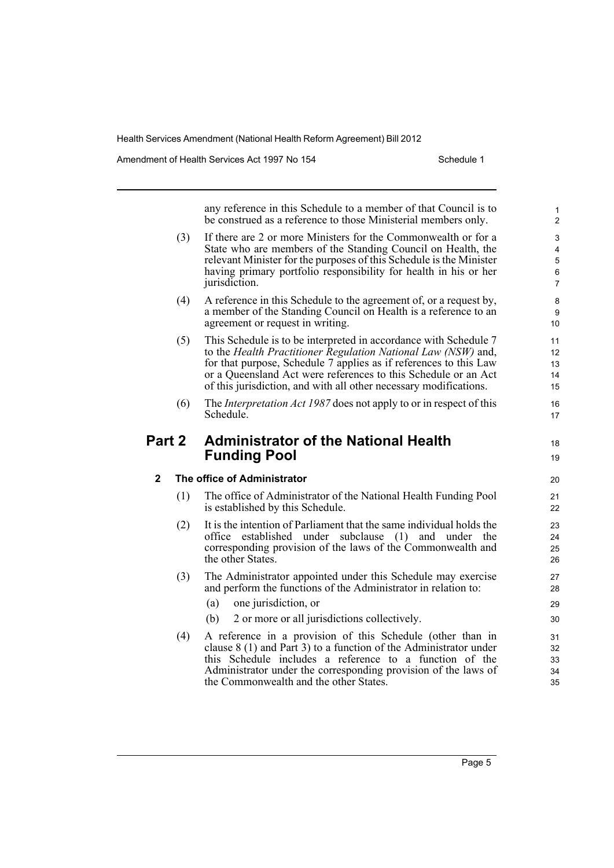Amendment of Health Services Act 1997 No 154 Schedule 1

any reference in this Schedule to a member of that Council is to be construed as a reference to those Ministerial members only. (3) If there are 2 or more Ministers for the Commonwealth or for a State who are members of the Standing Council on Health, the relevant Minister for the purposes of this Schedule is the Minister having primary portfolio responsibility for health in his or her jurisdiction. (4) A reference in this Schedule to the agreement of, or a request by, a member of the Standing Council on Health is a reference to an agreement or request in writing. (5) This Schedule is to be interpreted in accordance with Schedule 7 to the *Health Practitioner Regulation National Law (NSW)* and, for that purpose, Schedule 7 applies as if references to this Law or a Queensland Act were references to this Schedule or an Act of this jurisdiction, and with all other necessary modifications. (6) The *Interpretation Act 1987* does not apply to or in respect of this Schedule. **Part 2 Administrator of the National Health Funding Pool 2 The office of Administrator** (1) The office of Administrator of the National Health Funding Pool is established by this Schedule. (2) It is the intention of Parliament that the same individual holds the office established under subclause (1) and under the corresponding provision of the laws of the Commonwealth and the other States. (3) The Administrator appointed under this Schedule may exercise and perform the functions of the Administrator in relation to: (a) one jurisdiction, or (b) 2 or more or all jurisdictions collectively. (4) A reference in a provision of this Schedule (other than in clause 8 (1) and Part 3) to a function of the Administrator under this Schedule includes a reference to a function of the Administrator under the corresponding provision of the laws of the Commonwealth and the other States. 1  $\overline{2}$ 3 4 5 6 7 8 9 10 11 12 13 14 15 16 17 18 19 20 21  $22$ 23 24 25 26 27 28 29 30 31 32 33 34 35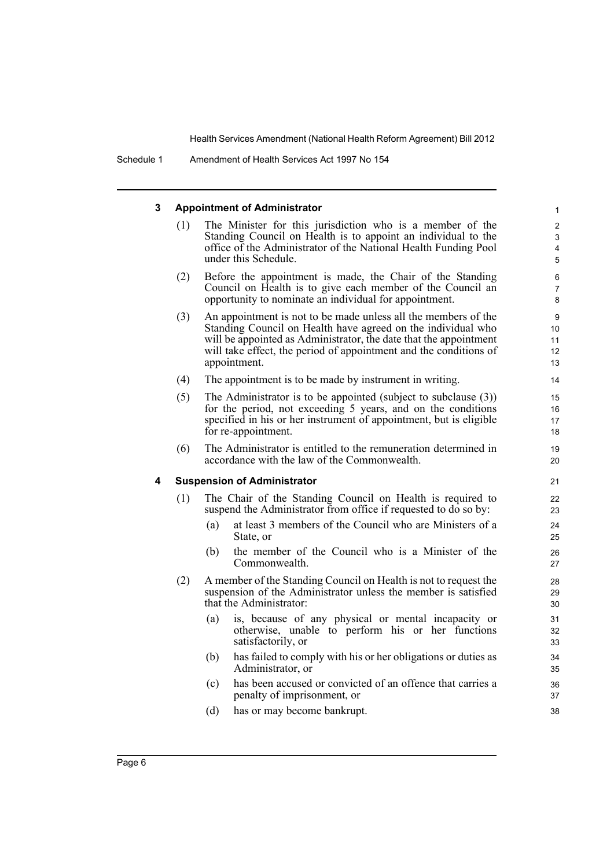#### **3 Appointment of Administrator**

(1) The Minister for this jurisdiction who is a member of the Standing Council on Health is to appoint an individual to the office of the Administrator of the National Health Funding Pool under this Schedule.

- (2) Before the appointment is made, the Chair of the Standing Council on Health is to give each member of the Council an opportunity to nominate an individual for appointment.
- (3) An appointment is not to be made unless all the members of the Standing Council on Health have agreed on the individual who will be appointed as Administrator, the date that the appointment will take effect, the period of appointment and the conditions of appointment.
- (4) The appointment is to be made by instrument in writing.
- (5) The Administrator is to be appointed (subject to subclause (3)) for the period, not exceeding 5 years, and on the conditions specified in his or her instrument of appointment, but is eligible for re-appointment.
- (6) The Administrator is entitled to the remuneration determined in accordance with the law of the Commonwealth.

#### **4 Suspension of Administrator**

- (1) The Chair of the Standing Council on Health is required to suspend the Administrator from office if requested to do so by:
	- (a) at least 3 members of the Council who are Ministers of a State, or
	- (b) the member of the Council who is a Minister of the Commonwealth.
- (2) A member of the Standing Council on Health is not to request the suspension of the Administrator unless the member is satisfied that the Administrator:
	- (a) is, because of any physical or mental incapacity or otherwise, unable to perform his or her functions satisfactorily, or
	- (b) has failed to comply with his or her obligations or duties as Administrator, or
	- (c) has been accused or convicted of an offence that carries a penalty of imprisonment, or
	- (d) has or may become bankrupt.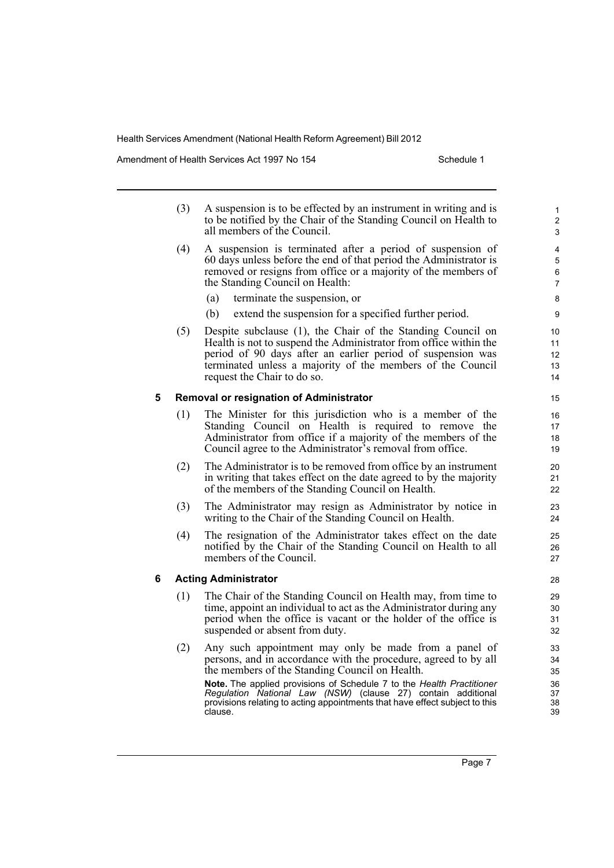Amendment of Health Services Act 1997 No 154 Schedule 1

|   | (3) | A suspension is to be effected by an instrument in writing and is<br>to be notified by the Chair of the Standing Council on Health to<br>all members of the Council.                                                                                                                                                                                                                                          |
|---|-----|---------------------------------------------------------------------------------------------------------------------------------------------------------------------------------------------------------------------------------------------------------------------------------------------------------------------------------------------------------------------------------------------------------------|
|   | (4) | A suspension is terminated after a period of suspension of<br>60 days unless before the end of that period the Administrator is<br>removed or resigns from office or a majority of the members of<br>the Standing Council on Health:                                                                                                                                                                          |
|   |     | terminate the suspension, or<br>(a)                                                                                                                                                                                                                                                                                                                                                                           |
|   |     | extend the suspension for a specified further period.<br>(b)                                                                                                                                                                                                                                                                                                                                                  |
|   | (5) | Despite subclause (1), the Chair of the Standing Council on<br>Health is not to suspend the Administrator from office within the<br>period of 90 days after an earlier period of suspension was<br>terminated unless a majority of the members of the Council<br>request the Chair to do so.                                                                                                                  |
| 5 |     | Removal or resignation of Administrator                                                                                                                                                                                                                                                                                                                                                                       |
|   | (1) | The Minister for this jurisdiction who is a member of the<br>Standing Council on Health is required to remove the<br>Administrator from office if a majority of the members of the<br>Council agree to the Administrator's removal from office.                                                                                                                                                               |
|   | (2) | The Administrator is to be removed from office by an instrument<br>in writing that takes effect on the date agreed to by the majority<br>of the members of the Standing Council on Health.                                                                                                                                                                                                                    |
|   | (3) | The Administrator may resign as Administrator by notice in<br>writing to the Chair of the Standing Council on Health.                                                                                                                                                                                                                                                                                         |
|   | (4) | The resignation of the Administrator takes effect on the date<br>notified by the Chair of the Standing Council on Health to all<br>members of the Council.                                                                                                                                                                                                                                                    |
| 6 |     | <b>Acting Administrator</b>                                                                                                                                                                                                                                                                                                                                                                                   |
|   | (1) | The Chair of the Standing Council on Health may, from time to<br>time, appoint an individual to act as the Administrator during any<br>period when the office is vacant or the holder of the office is<br>suspended or absent from duty.                                                                                                                                                                      |
|   | (2) | Any such appointment may only be made from a panel of<br>persons, and in accordance with the procedure, agreed to by all<br>the members of the Standing Council on Health.<br>Note. The applied provisions of Schedule 7 to the Health Practitioner<br>Regulation National Law (NSW) (clause 27) contain additional<br>provisions relating to acting appointments that have effect subject to this<br>clause. |
|   |     |                                                                                                                                                                                                                                                                                                                                                                                                               |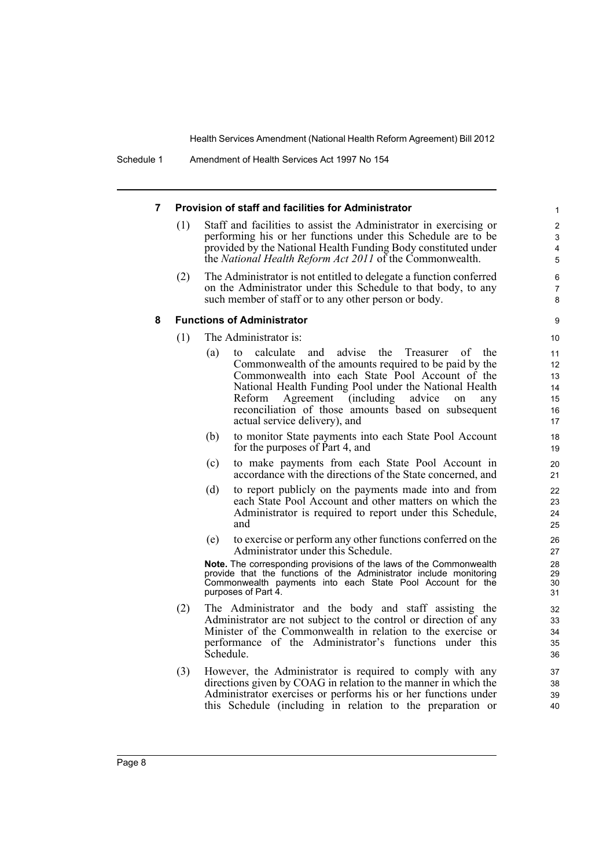#### **7 Provision of staff and facilities for Administrator**

- (1) Staff and facilities to assist the Administrator in exercising or performing his or her functions under this Schedule are to be provided by the National Health Funding Body constituted under the *National Health Reform Act 2011* of the Commonwealth.
- (2) The Administrator is not entitled to delegate a function conferred on the Administrator under this Schedule to that body, to any such member of staff or to any other person or body.

#### **8 Functions of Administrator**

- (1) The Administrator is:
	- (a) to calculate and advise the Treasurer of the Commonwealth of the amounts required to be paid by the Commonwealth into each State Pool Account of the National Health Funding Pool under the National Health Reform Agreement (including advice on any reconciliation of those amounts based on subsequent actual service delivery), and
	- (b) to monitor State payments into each State Pool Account for the purposes of Part 4, and
	- (c) to make payments from each State Pool Account in accordance with the directions of the State concerned, and
	- (d) to report publicly on the payments made into and from each State Pool Account and other matters on which the Administrator is required to report under this Schedule, and
	- (e) to exercise or perform any other functions conferred on the Administrator under this Schedule.

**Note.** The corresponding provisions of the laws of the Commonwealth provide that the functions of the Administrator include monitoring Commonwealth payments into each State Pool Account for the purposes of Part 4.

- (2) The Administrator and the body and staff assisting the Administrator are not subject to the control or direction of any Minister of the Commonwealth in relation to the exercise or performance of the Administrator's functions under this Schedule.
- (3) However, the Administrator is required to comply with any directions given by COAG in relation to the manner in which the Administrator exercises or performs his or her functions under this Schedule (including in relation to the preparation or

9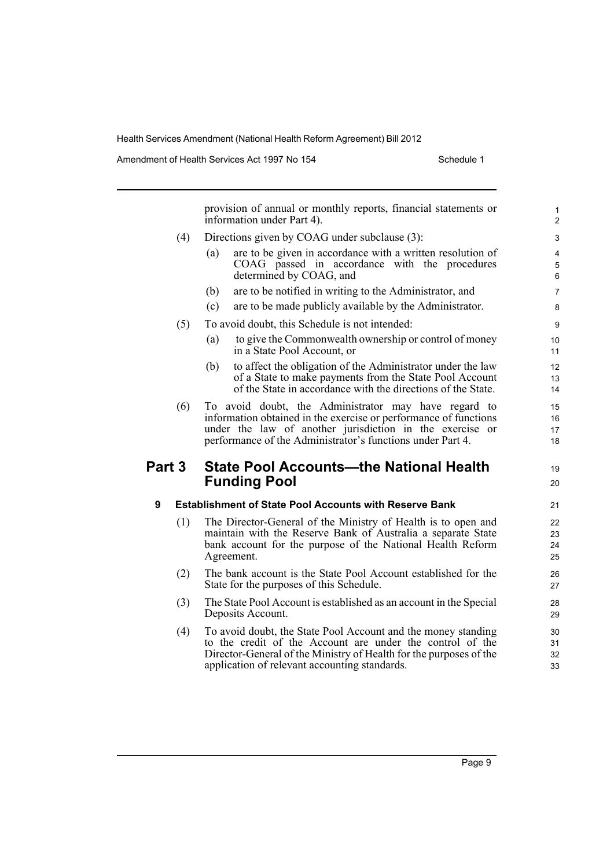Amendment of Health Services Act 1997 No 154 Schedule 1

|             |     | provision of annual or monthly reports, financial statements or<br>information under Part 4).                                                                                                                                                      | $\mathbf{1}$<br>$\overline{c}$    |
|-------------|-----|----------------------------------------------------------------------------------------------------------------------------------------------------------------------------------------------------------------------------------------------------|-----------------------------------|
|             | (4) | Directions given by COAG under subclause (3):                                                                                                                                                                                                      | 3                                 |
|             |     | are to be given in accordance with a written resolution of<br>(a)<br>COAG passed in accordance with the procedures<br>determined by COAG, and                                                                                                      | $\overline{\mathbf{4}}$<br>5<br>6 |
|             |     | are to be notified in writing to the Administrator, and<br>(b)                                                                                                                                                                                     | $\overline{7}$                    |
|             |     | are to be made publicly available by the Administrator.<br>(c)                                                                                                                                                                                     | 8                                 |
|             | (5) | To avoid doubt, this Schedule is not intended:                                                                                                                                                                                                     | $\boldsymbol{9}$                  |
|             |     | to give the Commonwealth ownership or control of money<br>(a)<br>in a State Pool Account, or                                                                                                                                                       | 10<br>11                          |
|             |     | to affect the obligation of the Administrator under the law<br>(b)<br>of a State to make payments from the State Pool Account<br>of the State in accordance with the directions of the State.                                                      | 12<br>13<br>14                    |
|             | (6) | To avoid doubt, the Administrator may have regard to<br>information obtained in the exercise or performance of functions<br>under the law of another jurisdiction in the exercise or<br>performance of the Administrator's functions under Part 4. | 15<br>16<br>17<br>18              |
|             |     |                                                                                                                                                                                                                                                    |                                   |
|             |     | <b>State Pool Accounts-the National Health</b><br><b>Funding Pool</b>                                                                                                                                                                              | 19<br>20                          |
| Part 3<br>9 |     | <b>Establishment of State Pool Accounts with Reserve Bank</b>                                                                                                                                                                                      | 21                                |
|             | (1) | The Director-General of the Ministry of Health is to open and<br>maintain with the Reserve Bank of Australia a separate State<br>bank account for the purpose of the National Health Reform<br>Agreement.                                          | 22<br>23<br>24<br>25              |
|             | (2) | The bank account is the State Pool Account established for the<br>State for the purposes of this Schedule.                                                                                                                                         | 26<br>27                          |
|             | (3) | The State Pool Account is established as an account in the Special<br>Deposits Account.                                                                                                                                                            | 28<br>29                          |
|             | (4) | To avoid doubt, the State Pool Account and the money standing<br>to the credit of the Account are under the control of the<br>Director-General of the Ministry of Health for the purposes of the<br>application of relevant accounting standards.  | 30<br>31<br>32<br>33              |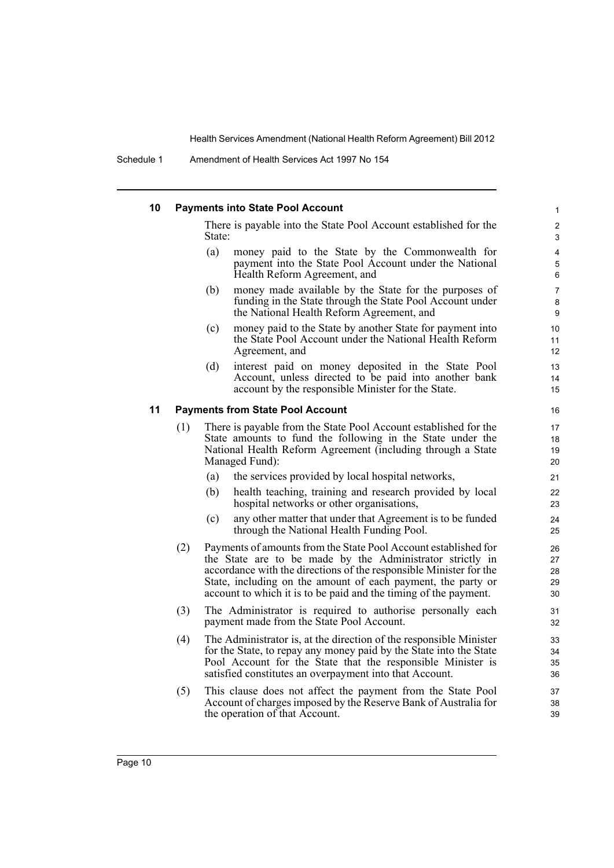#### **10 Payments into State Pool Account**

There is payable into the State Pool Account established for the State:

- (a) money paid to the State by the Commonwealth for payment into the State Pool Account under the National Health Reform Agreement, and
- (b) money made available by the State for the purposes of funding in the State through the State Pool Account under the National Health Reform Agreement, and
- (c) money paid to the State by another State for payment into the State Pool Account under the National Health Reform Agreement, and
- (d) interest paid on money deposited in the State Pool Account, unless directed to be paid into another bank account by the responsible Minister for the State.

#### **11 Payments from State Pool Account**

- (1) There is payable from the State Pool Account established for the State amounts to fund the following in the State under the National Health Reform Agreement (including through a State Managed Fund):
	- (a) the services provided by local hospital networks,
	- (b) health teaching, training and research provided by local hospital networks or other organisations,
	- (c) any other matter that under that Agreement is to be funded through the National Health Funding Pool.
- (2) Payments of amounts from the State Pool Account established for the State are to be made by the Administrator strictly in accordance with the directions of the responsible Minister for the State, including on the amount of each payment, the party or account to which it is to be paid and the timing of the payment.
- (3) The Administrator is required to authorise personally each payment made from the State Pool Account.
- (4) The Administrator is, at the direction of the responsible Minister for the State, to repay any money paid by the State into the State Pool Account for the State that the responsible Minister is satisfied constitutes an overpayment into that Account.
- (5) This clause does not affect the payment from the State Pool Account of charges imposed by the Reserve Bank of Australia for the operation of that Account.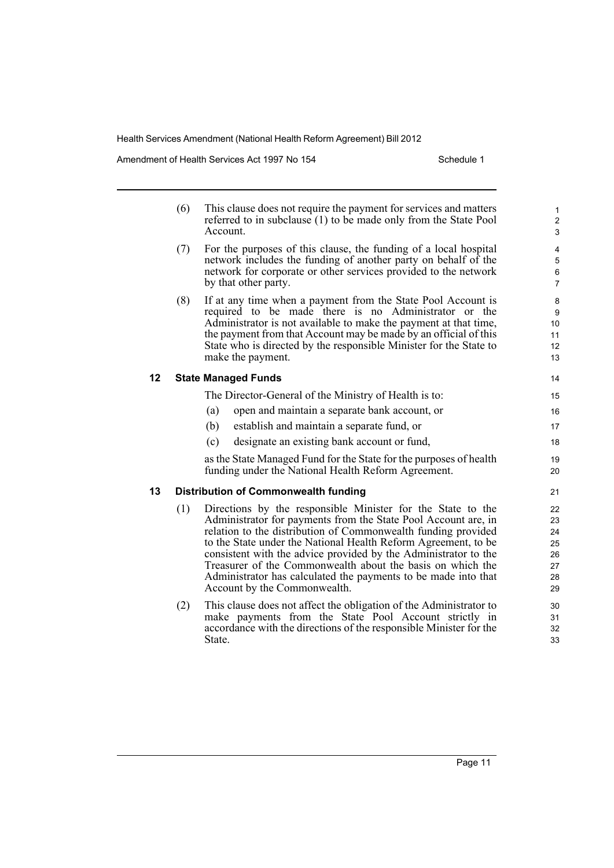Amendment of Health Services Act 1997 No 154 Schedule 1

|    | (6) | This clause does not require the payment for services and matters<br>referred to in subclause (1) to be made only from the State Pool<br>Account.                                                                                                                                                                                                                                                                                                                                                   | $\mathbf{1}$<br>$\mathbf 2$<br>3             |
|----|-----|-----------------------------------------------------------------------------------------------------------------------------------------------------------------------------------------------------------------------------------------------------------------------------------------------------------------------------------------------------------------------------------------------------------------------------------------------------------------------------------------------------|----------------------------------------------|
|    | (7) | For the purposes of this clause, the funding of a local hospital<br>network includes the funding of another party on behalf of the<br>network for corporate or other services provided to the network<br>by that other party.                                                                                                                                                                                                                                                                       | 4<br>5<br>6<br>$\overline{7}$                |
|    | (8) | If at any time when a payment from the State Pool Account is<br>required to be made there is no Administrator or the<br>Administrator is not available to make the payment at that time,<br>the payment from that Account may be made by an official of this<br>State who is directed by the responsible Minister for the State to<br>make the payment.                                                                                                                                             | 8<br>9<br>10<br>11<br>12<br>13               |
| 12 |     | <b>State Managed Funds</b>                                                                                                                                                                                                                                                                                                                                                                                                                                                                          | 14                                           |
|    |     | The Director-General of the Ministry of Health is to:                                                                                                                                                                                                                                                                                                                                                                                                                                               | 15                                           |
|    |     | open and maintain a separate bank account, or<br>(a)                                                                                                                                                                                                                                                                                                                                                                                                                                                | 16                                           |
|    |     | (b)<br>establish and maintain a separate fund, or                                                                                                                                                                                                                                                                                                                                                                                                                                                   | 17                                           |
|    |     | designate an existing bank account or fund,<br>(c)                                                                                                                                                                                                                                                                                                                                                                                                                                                  | 18                                           |
|    |     | as the State Managed Fund for the State for the purposes of health<br>funding under the National Health Reform Agreement.                                                                                                                                                                                                                                                                                                                                                                           | 19<br>20                                     |
| 13 |     | <b>Distribution of Commonwealth funding</b>                                                                                                                                                                                                                                                                                                                                                                                                                                                         | 21                                           |
|    | (1) | Directions by the responsible Minister for the State to the<br>Administrator for payments from the State Pool Account are, in<br>relation to the distribution of Commonwealth funding provided<br>to the State under the National Health Reform Agreement, to be<br>consistent with the advice provided by the Administrator to the<br>Treasurer of the Commonwealth about the basis on which the<br>Administrator has calculated the payments to be made into that<br>Account by the Commonwealth. | 22<br>23<br>24<br>25<br>26<br>27<br>28<br>29 |
|    | (2) | This clause does not affect the obligation of the Administrator to                                                                                                                                                                                                                                                                                                                                                                                                                                  | 30                                           |

(2) This clause does not affect the obligation of the Administrator to make payments from the State Pool Account strictly in accordance with the directions of the responsible Minister for the State.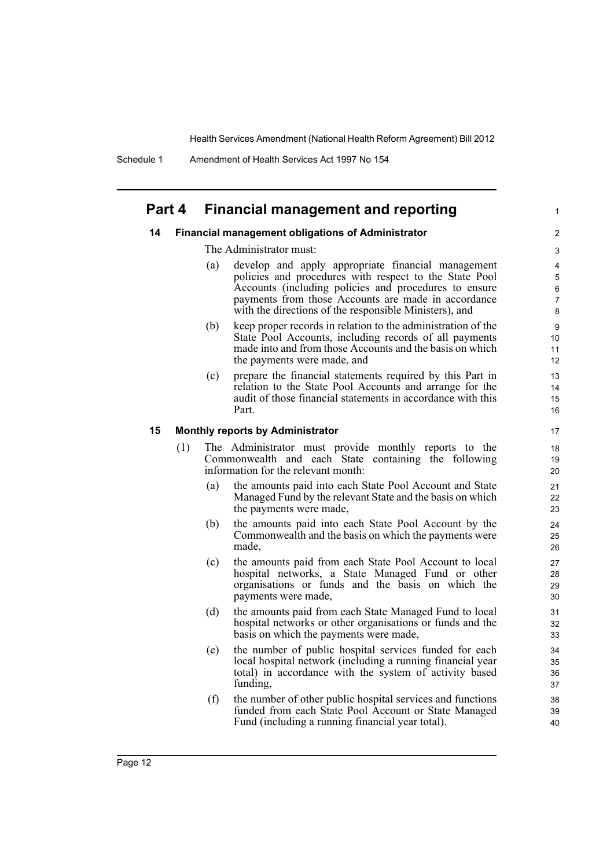Schedule 1 Amendment of Health Services Act 1997 No 154

### **Part 4 Financial management and reporting**

#### **14 Financial management obligations of Administrator**

The Administrator must:

(a) develop and apply appropriate financial management policies and procedures with respect to the State Pool Accounts (including policies and procedures to ensure payments from those Accounts are made in accordance with the directions of the responsible Ministers), and

1

- (b) keep proper records in relation to the administration of the State Pool Accounts, including records of all payments made into and from those Accounts and the basis on which the payments were made, and
- (c) prepare the financial statements required by this Part in relation to the State Pool Accounts and arrange for the audit of those financial statements in accordance with this Part.

#### **15 Monthly reports by Administrator**

- (1) The Administrator must provide monthly reports to the Commonwealth and each State containing the following information for the relevant month:
	- (a) the amounts paid into each State Pool Account and State Managed Fund by the relevant State and the basis on which the payments were made,
	- (b) the amounts paid into each State Pool Account by the Commonwealth and the basis on which the payments were made,
	- (c) the amounts paid from each State Pool Account to local hospital networks, a State Managed Fund or other organisations or funds and the basis on which the payments were made,
	- (d) the amounts paid from each State Managed Fund to local hospital networks or other organisations or funds and the basis on which the payments were made,
	- (e) the number of public hospital services funded for each local hospital network (including a running financial year total) in accordance with the system of activity based funding,
	- (f) the number of other public hospital services and functions funded from each State Pool Account or State Managed Fund (including a running financial year total).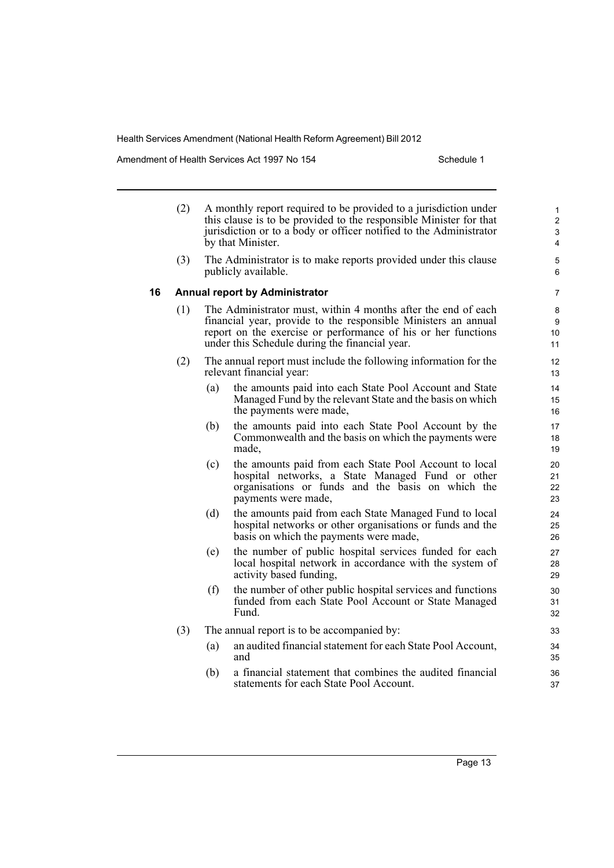Amendment of Health Services Act 1997 No 154 Schedule 1

- (2) A monthly report required to be provided to a jurisdiction under this clause is to be provided to the responsible Minister for that jurisdiction or to a body or officer notified to the Administrator by that Minister.
- (3) The Administrator is to make reports provided under this clause publicly available.

#### **16 Annual report by Administrator**

- (1) The Administrator must, within 4 months after the end of each financial year, provide to the responsible Ministers an annual report on the exercise or performance of his or her functions under this Schedule during the financial year.
- (2) The annual report must include the following information for the relevant financial year:
	- (a) the amounts paid into each State Pool Account and State Managed Fund by the relevant State and the basis on which the payments were made,
	- (b) the amounts paid into each State Pool Account by the Commonwealth and the basis on which the payments were made,
	- (c) the amounts paid from each State Pool Account to local hospital networks, a State Managed Fund or other organisations or funds and the basis on which the payments were made,
	- (d) the amounts paid from each State Managed Fund to local hospital networks or other organisations or funds and the basis on which the payments were made,
	- (e) the number of public hospital services funded for each local hospital network in accordance with the system of activity based funding,
	- (f) the number of other public hospital services and functions funded from each State Pool Account or State Managed Fund.
- (3) The annual report is to be accompanied by:
	- (a) an audited financial statement for each State Pool Account, and
	- (b) a financial statement that combines the audited financial statements for each State Pool Account.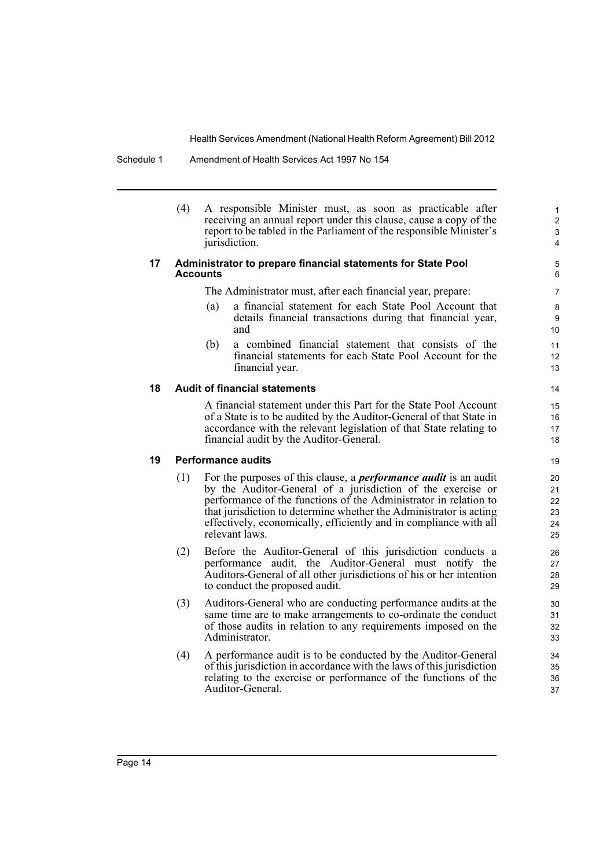Schedule 1 Amendment of Health Services Act 1997 No 154

(4) A responsible Minister must, as soon as practicable after receiving an annual report under this clause, cause a copy of the report to be tabled in the Parliament of the responsible Minister's jurisdiction.

#### **17 Administrator to prepare financial statements for State Pool Accounts**

The Administrator must, after each financial year, prepare:

(a) a financial statement for each State Pool Account that details financial transactions during that financial year, and

(b) a combined financial statement that consists of the financial statements for each State Pool Account for the financial year.

### **18 Audit of financial statements**

A financial statement under this Part for the State Pool Account of a State is to be audited by the Auditor-General of that State in accordance with the relevant legislation of that State relating to financial audit by the Auditor-General.

### **19 Performance audits**

- (1) For the purposes of this clause, a *performance audit* is an audit by the Auditor-General of a jurisdiction of the exercise or performance of the functions of the Administrator in relation to that jurisdiction to determine whether the Administrator is acting effectively, economically, efficiently and in compliance with all relevant laws.
- (2) Before the Auditor-General of this jurisdiction conducts a performance audit, the Auditor-General must notify the Auditors-General of all other jurisdictions of his or her intention to conduct the proposed audit.
- (3) Auditors-General who are conducting performance audits at the same time are to make arrangements to co-ordinate the conduct of those audits in relation to any requirements imposed on the Administrator.
- (4) A performance audit is to be conducted by the Auditor-General of this jurisdiction in accordance with the laws of this jurisdiction relating to the exercise or performance of the functions of the Auditor-General.

Page 14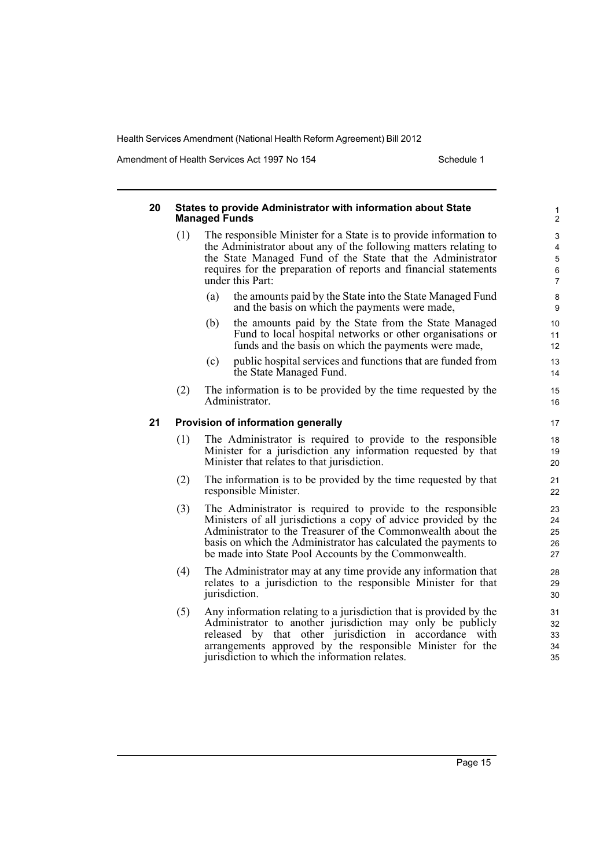Amendment of Health Services Act 1997 No 154 Schedule 1

#### **20 States to provide Administrator with information about State Managed Funds** (1) The responsible Minister for a State is to provide information to the Administrator about any of the following matters relating to the State Managed Fund of the State that the Administrator requires for the preparation of reports and financial statements under this Part: (a) the amounts paid by the State into the State Managed Fund and the basis on which the payments were made, (b) the amounts paid by the State from the State Managed Fund to local hospital networks or other organisations or funds and the basis on which the payments were made, (c) public hospital services and functions that are funded from the State Managed Fund. (2) The information is to be provided by the time requested by the Administrator. **21 Provision of information generally** (1) The Administrator is required to provide to the responsible Minister for a jurisdiction any information requested by that Minister that relates to that jurisdiction. (2) The information is to be provided by the time requested by that responsible Minister. (3) The Administrator is required to provide to the responsible Ministers of all jurisdictions a copy of advice provided by the Administrator to the Treasurer of the Commonwealth about the basis on which the Administrator has calculated the payments to be made into State Pool Accounts by the Commonwealth. (4) The Administrator may at any time provide any information that relates to a jurisdiction to the responsible Minister for that jurisdiction. (5) Any information relating to a jurisdiction that is provided by the Administrator to another jurisdiction may only be publicly released by that other jurisdiction in accordance with arrangements approved by the responsible Minister for the jurisdiction to which the information relates. 1 2 3 4 5 6 7 8 9 10 11 12 13 14 15 16 17 18 19 20 21 22 23 24 25 26 27 28 29 30 31 32 33 34 35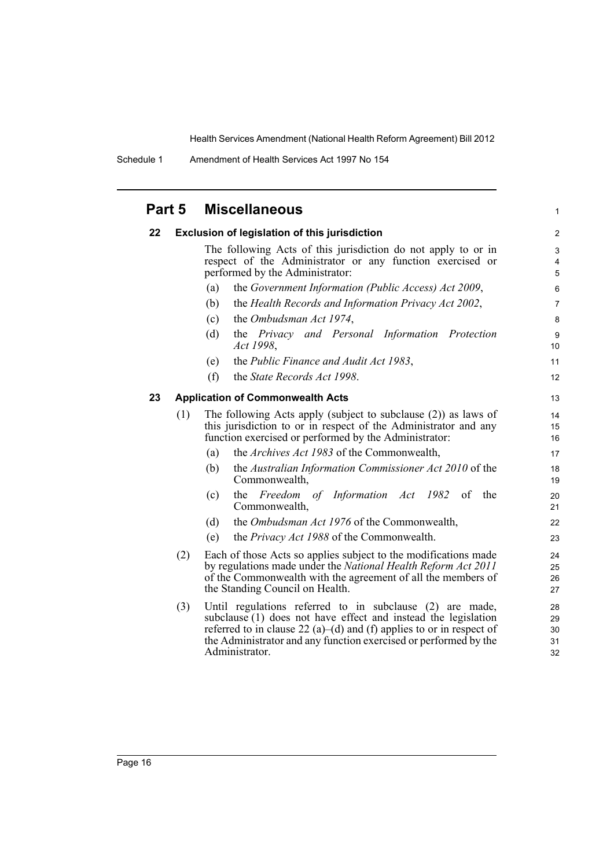Schedule 1 Amendment of Health Services Act 1997 No 154

| Part 5 |     | <b>Miscellaneous</b>                                                                                                                                                                                                                                                                     | $\mathbf{1}$               |
|--------|-----|------------------------------------------------------------------------------------------------------------------------------------------------------------------------------------------------------------------------------------------------------------------------------------------|----------------------------|
| 22     |     | <b>Exclusion of legislation of this jurisdiction</b>                                                                                                                                                                                                                                     | $\mathbf{2}$               |
|        |     | The following Acts of this jurisdiction do not apply to or in<br>respect of the Administrator or any function exercised or<br>performed by the Administrator:                                                                                                                            | 3<br>4<br>5                |
|        |     | the Government Information (Public Access) Act 2009,<br>(a)                                                                                                                                                                                                                              | 6                          |
|        |     | (b)<br>the Health Records and Information Privacy Act 2002,                                                                                                                                                                                                                              | $\overline{7}$             |
|        |     | the Ombudsman Act 1974,<br>(c)                                                                                                                                                                                                                                                           | 8                          |
|        |     | (d)<br>the Privacy and Personal Information Protection<br>Act 1998,                                                                                                                                                                                                                      | 9<br>10                    |
|        |     | the Public Finance and Audit Act 1983,<br>(e)                                                                                                                                                                                                                                            | 11                         |
|        |     | (f)<br>the State Records Act 1998.                                                                                                                                                                                                                                                       | 12                         |
| 23     |     | <b>Application of Commonwealth Acts</b>                                                                                                                                                                                                                                                  | 13                         |
|        | (1) | The following Acts apply (subject to subclause $(2)$ ) as laws of<br>this jurisdiction to or in respect of the Administrator and any<br>function exercised or performed by the Administrator:                                                                                            | 14<br>15<br>16             |
|        |     | the <i>Archives Act 1983</i> of the Commonwealth,<br>(a)                                                                                                                                                                                                                                 | 17                         |
|        |     | the Australian Information Commissioner Act 2010 of the<br>(b)<br>Commonwealth,                                                                                                                                                                                                          | 18<br>19                   |
|        |     | the Freedom of Information Act 1982 of<br>the<br>(c)<br>Commonwealth,                                                                                                                                                                                                                    | 20<br>21                   |
|        |     | the <i>Ombudsman Act 1976</i> of the Commonwealth,<br>(d)                                                                                                                                                                                                                                | 22                         |
|        |     | the Privacy Act 1988 of the Commonwealth.<br>(e)                                                                                                                                                                                                                                         | 23                         |
|        | (2) | Each of those Acts so applies subject to the modifications made<br>by regulations made under the National Health Reform Act 2011<br>of the Commonwealth with the agreement of all the members of<br>the Standing Council on Health.                                                      | 24<br>25<br>26<br>27       |
|        | (3) | Until regulations referred to in subclause (2) are made,<br>subclause (1) does not have effect and instead the legislation<br>referred to in clause 22 (a)–(d) and (f) applies to or in respect of<br>the Administrator and any function exercised or performed by the<br>Administrator. | 28<br>29<br>30<br>31<br>32 |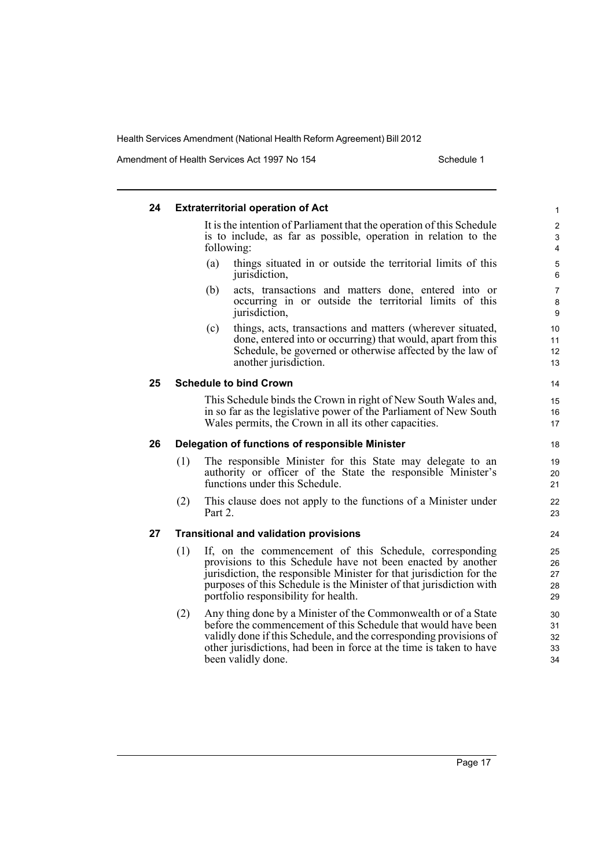Amendment of Health Services Act 1997 No 154 Schedule 1

#### **24 Extraterritorial operation of Act** It is the intention of Parliament that the operation of this Schedule is to include, as far as possible, operation in relation to the following: (a) things situated in or outside the territorial limits of this jurisdiction, (b) acts, transactions and matters done, entered into or occurring in or outside the territorial limits of this jurisdiction, (c) things, acts, transactions and matters (wherever situated, done, entered into or occurring) that would, apart from this Schedule, be governed or otherwise affected by the law of another jurisdiction. **25 Schedule to bind Crown** This Schedule binds the Crown in right of New South Wales and, in so far as the legislative power of the Parliament of New South Wales permits, the Crown in all its other capacities. **26 Delegation of functions of responsible Minister** (1) The responsible Minister for this State may delegate to an authority or officer of the State the responsible Minister's functions under this Schedule. (2) This clause does not apply to the functions of a Minister under Part 2. **27 Transitional and validation provisions** (1) If, on the commencement of this Schedule, corresponding provisions to this Schedule have not been enacted by another jurisdiction, the responsible Minister for that jurisdiction for the purposes of this Schedule is the Minister of that jurisdiction with portfolio responsibility for health. (2) Any thing done by a Minister of the Commonwealth or of a State before the commencement of this Schedule that would have been validly done if this Schedule, and the corresponding provisions of other jurisdictions, had been in force at the time is taken to have been validly done. 1 2 3 4 5 6 7 8 9 10 11 12 13 14 15 16 17 18 19  $20$ 21 22 23 24 25 26 27 28 29 30 31 32 33 34